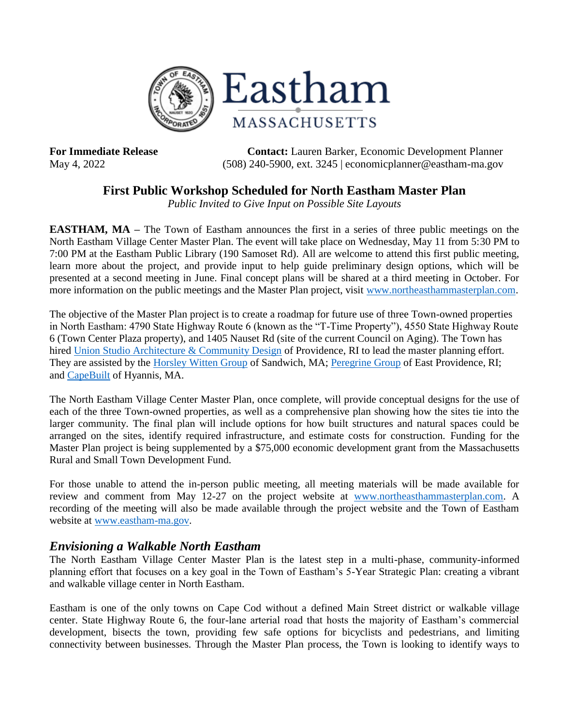

**For Immediate Release Contact:** Lauren Barker, Economic Development Planner May 4, 2022 (508) 240-5900, ext. 3245 | economicplanner@eastham-ma.gov

# **First Public Workshop Scheduled for North Eastham Master Plan**

*Public Invited to Give Input on Possible Site Layouts*

**EASTHAM, MA** – The Town of Eastham announces the first in a series of three public meetings on the North Eastham Village Center Master Plan. The event will take place on Wednesday, May 11 from 5:30 PM to 7:00 PM at the Eastham Public Library (190 Samoset Rd). All are welcome to attend this first public meeting, learn more about the project, and provide input to help guide preliminary design options, which will be presented at a second meeting in June. Final concept plans will be shared at a third meeting in October. For more information on the public meetings and the Master Plan project, visit [www.northeasthammasterplan.com.](http://www.northeasthammasterplan.com/)

The objective of the Master Plan project is to create a roadmap for future use of three Town-owned properties in North Eastham: 4790 State Highway Route 6 (known as the "T-Time Property"), 4550 State Highway Route 6 (Town Center Plaza property), and 1405 Nauset Rd (site of the current Council on Aging). The Town has hired [Union Studio Architecture & Community Design](http://unionstudioarch.com/) of Providence, RI to lead the master planning effort. They are assisted by the [Horsley Witten Group](https://horsleywitten.com/) of Sandwich, MA; [Peregrine Group](https://www.peregrinegrp.com/pages/Home.cfm) of East Providence, RI; and [CapeBuilt](https://www.capebuilt.com/) of Hyannis, MA.

The North Eastham Village Center Master Plan, once complete, will provide conceptual designs for the use of each of the three Town-owned properties, as well as a comprehensive plan showing how the sites tie into the larger community. The final plan will include options for how built structures and natural spaces could be arranged on the sites, identify required infrastructure, and estimate costs for construction. Funding for the Master Plan project is being supplemented by a \$75,000 economic development grant from the Massachusetts Rural and Small Town Development Fund.

For those unable to attend the in-person public meeting, all meeting materials will be made available for review and comment from May 12-27 on the project website at [www.northeasthammasterplan.com.](http://www.northeasthammasterplan.com/) A recording of the meeting will also be made available through the project website and the Town of Eastham website at [www.eastham-ma.gov.](http://www.eastham-ma.gov/)

## *Envisioning a Walkable North Eastham*

The North Eastham Village Center Master Plan is the latest step in a multi-phase, community-informed planning effort that focuses on a key goal in the Town of Eastham's 5-Year Strategic Plan: creating a vibrant and walkable village center in North Eastham.

Eastham is one of the only towns on Cape Cod without a defined Main Street district or walkable village center. State Highway Route 6, the four-lane arterial road that hosts the majority of Eastham's commercial development, bisects the town, providing few safe options for bicyclists and pedestrians, and limiting connectivity between businesses. Through the Master Plan process, the Town is looking to identify ways to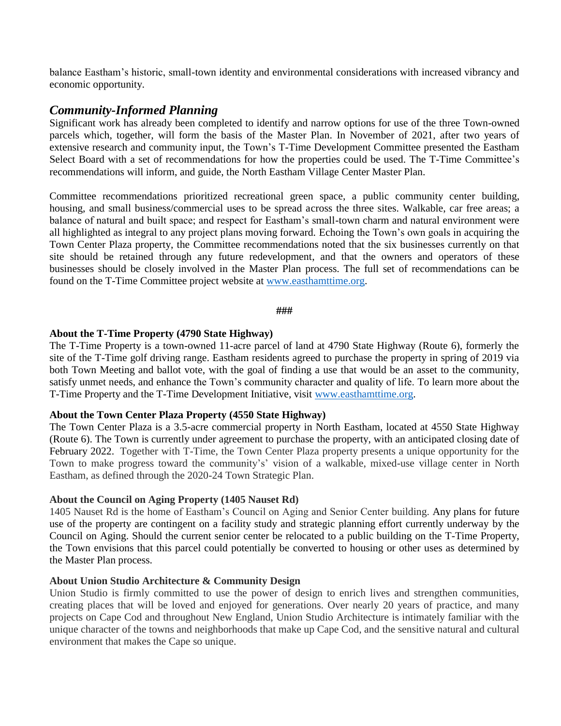balance Eastham's historic, small-town identity and environmental considerations with increased vibrancy and economic opportunity.

## *Community-Informed Planning*

Significant work has already been completed to identify and narrow options for use of the three Town-owned parcels which, together, will form the basis of the Master Plan. In November of 2021, after two years of extensive research and community input, the Town's T-Time Development Committee presented the Eastham Select Board with a set of recommendations for how the properties could be used. The T-Time Committee's recommendations will inform, and guide, the North Eastham Village Center Master Plan.

Committee recommendations prioritized recreational green space, a public community center building, housing, and small business/commercial uses to be spread across the three sites. Walkable, car free areas; a balance of natural and built space; and respect for Eastham's small-town charm and natural environment were all highlighted as integral to any project plans moving forward. Echoing the Town's own goals in acquiring the Town Center Plaza property, the Committee recommendations noted that the six businesses currently on that site should be retained through any future redevelopment, and that the owners and operators of these businesses should be closely involved in the Master Plan process. The full set of recommendations can be found on the T-Time Committee project website at [www.easthamttime.org.](http://www.easthamttime.org/)

#### **###**

## **About the T-Time Property (4790 State Highway)**

The T-Time Property is a town-owned 11-acre parcel of land at 4790 State Highway (Route 6), formerly the site of the T-Time golf driving range. Eastham residents agreed to purchase the property in spring of 2019 via both Town Meeting and ballot vote, with the goal of finding a use that would be an asset to the community, satisfy unmet needs, and enhance the Town's community character and quality of life. To learn more about the T-Time Property and the T-Time Development Initiative, visit [www.easthamttime.org.](http://www.easthamttime.org/)

### **About the Town Center Plaza Property (4550 State Highway)**

The Town Center Plaza is a 3.5-acre commercial property in North Eastham, located at 4550 State Highway (Route 6). The Town is currently under agreement to purchase the property, with an anticipated closing date of February 2022. Together with T-Time, the Town Center Plaza property presents a unique opportunity for the Town to make progress toward the community's' vision of a walkable, mixed-use village center in North Eastham, as defined through the 2020-24 Town Strategic Plan.

## **About the Council on Aging Property (1405 Nauset Rd)**

1405 Nauset Rd is the home of Eastham's Council on Aging and Senior Center building. Any plans for future use of the property are contingent on a facility study and strategic planning effort currently underway by the Council on Aging. Should the current senior center be relocated to a public building on the T-Time Property, the Town envisions that this parcel could potentially be converted to housing or other uses as determined by the Master Plan process.

## **About Union Studio Architecture & Community Design**

Union Studio is firmly committed to use the power of design to enrich lives and strengthen communities, creating places that will be loved and enjoyed for generations. Over nearly 20 years of practice, and many projects on Cape Cod and throughout New England, Union Studio Architecture is intimately familiar with the unique character of the towns and neighborhoods that make up Cape Cod, and the sensitive natural and cultural environment that makes the Cape so unique.